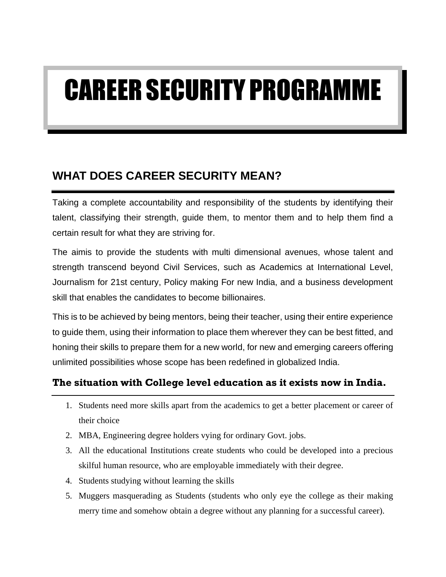# CAREER SECURITY PROGRAMME

# **WHAT DOES CAREER SECURITY MEAN?**

Taking a complete accountability and responsibility of the students by identifying their talent, classifying their strength, guide them, to mentor them and to help them find a certain result for what they are striving for.

The aimis to provide the students with multi dimensional avenues, whose talent and strength transcend beyond Civil Services, such as Academics at International Level, Journalism for 21st century, Policy making For new India, and a business development skill that enables the candidates to become billionaires.

This is to be achieved by being mentors, being their teacher, using their entire experience to guide them, using their information to place them wherever they can be best fitted, and honing their skills to prepare them for a new world, for new and emerging careers offering unlimited possibilities whose scope has been redefined in globalized India.

## **The situation with College level education as it exists now in India.**

- 1. Students need more skills apart from the academics to get a better placement or career of their choice
- 2. MBA, Engineering degree holders vying for ordinary Govt. jobs.
- 3. All the educational Institutions create students who could be developed into a precious skilful human resource, who are employable immediately with their degree.
- 4. Students studying without learning the skills
- 5. Muggers masquerading as Students (students who only eye the college as their making merry time and somehow obtain a degree without any planning for a successful career).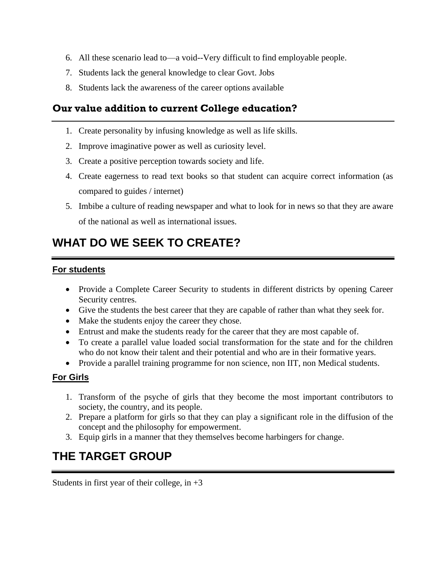- 6. All these scenario lead to—a void--Very difficult to find employable people.
- 7. Students lack the general knowledge to clear Govt. Jobs
- 8. Students lack the awareness of the career options available

## **Our value addition to current College education?**

- 1. Create personality by infusing knowledge as well as life skills.
- 2. Improve imaginative power as well as curiosity level.
- 3. Create a positive perception towards society and life.
- 4. Create eagerness to read text books so that student can acquire correct information (as compared to guides / internet)
- 5. Imbibe a culture of reading newspaper and what to look for in news so that they are aware of the national as well as international issues.

# **WHAT DO WE SEEK TO CREATE?**

#### **For students**

- Provide a Complete Career Security to students in different districts by opening Career Security centres.
- Give the students the best career that they are capable of rather than what they seek for.
- Make the students enjoy the career they chose.
- Entrust and make the students ready for the career that they are most capable of.
- To create a parallel value loaded social transformation for the state and for the children who do not know their talent and their potential and who are in their formative years.
- Provide a parallel training programme for non science, non IIT, non Medical students.

#### **For Girls**

- 1. Transform of the psyche of girls that they become the most important contributors to society, the country, and its people.
- 2. Prepare a platform for girls so that they can play a significant role in the diffusion of the concept and the philosophy for empowerment.
- 3. Equip girls in a manner that they themselves become harbingers for change.

# **THE TARGET GROUP**

Students in first year of their college, in  $+3$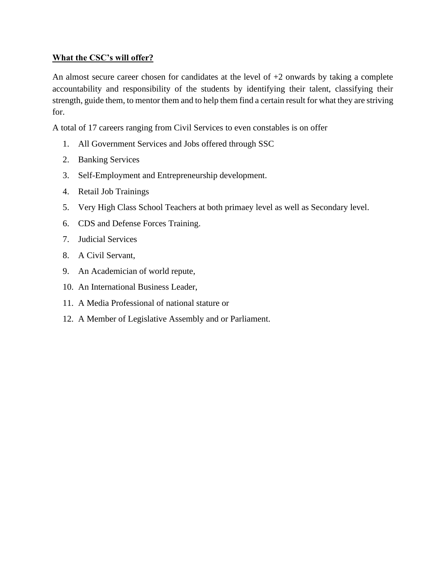#### **What the CSC's will offer?**

An almost secure career chosen for candidates at the level of  $+2$  onwards by taking a complete accountability and responsibility of the students by identifying their talent, classifying their strength, guide them, to mentor them and to help them find a certain result for what they are striving for.

A total of 17 careers ranging from Civil Services to even constables is on offer

- 1. All Government Services and Jobs offered through SSC
- 2. Banking Services
- 3. Self-Employment and Entrepreneurship development.
- 4. Retail Job Trainings
- 5. Very High Class School Teachers at both primaey level as well as Secondary level.
- 6. CDS and Defense Forces Training.
- 7. Judicial Services
- 8. A Civil Servant,
- 9. An Academician of world repute,
- 10. An International Business Leader,
- 11. A Media Professional of national stature or
- 12. A Member of Legislative Assembly and or Parliament.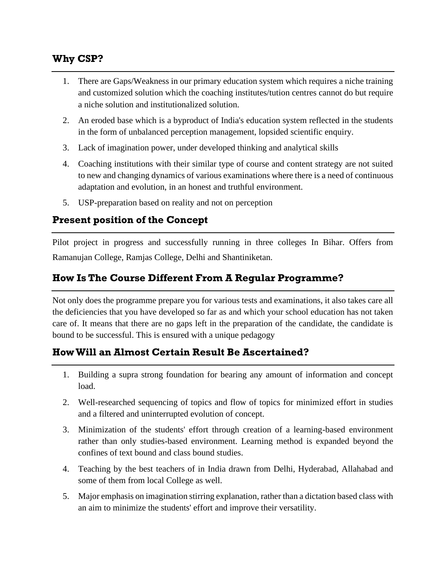## **Why CSP?**

- 1. There are Gaps/Weakness in our primary education system which requires a niche training and customized solution which the coaching institutes/tution centres cannot do but require a niche solution and institutionalized solution.
- 2. An eroded base which is a byproduct of India's education system reflected in the students in the form of unbalanced perception management, lopsided scientific enquiry.
- 3. Lack of imagination power, under developed thinking and analytical skills
- 4. Coaching institutions with their similar type of course and content strategy are not suited to new and changing dynamics of various examinations where there is a need of continuous adaptation and evolution, in an honest and truthful environment.
- 5. USP-preparation based on reality and not on perception

## **Present position of the Concept**

Pilot project in progress and successfully running in three colleges In Bihar. Offers from Ramanujan College, Ramjas College, Delhi and Shantiniketan.

## **How Is The Course Different From A Regular Programme?**

Not only does the programme prepare you for various tests and examinations, it also takes care all the deficiencies that you have developed so far as and which your school education has not taken care of. It means that there are no gaps left in the preparation of the candidate, the candidate is bound to be successful. This is ensured with a unique pedagogy

## **How Will an Almost Certain Result Be Ascertained?**

- 1. Building a supra strong foundation for bearing any amount of information and concept load.
- 2. Well-researched sequencing of topics and flow of topics for minimized effort in studies and a filtered and uninterrupted evolution of concept.
- 3. Minimization of the students' effort through creation of a learning-based environment rather than only studies-based environment. Learning method is expanded beyond the confines of text bound and class bound studies.
- 4. Teaching by the best teachers of in India drawn from Delhi, Hyderabad, Allahabad and some of them from local College as well.
- 5. Major emphasis on imagination stirring explanation, rather than a dictation based class with an aim to minimize the students' effort and improve their versatility.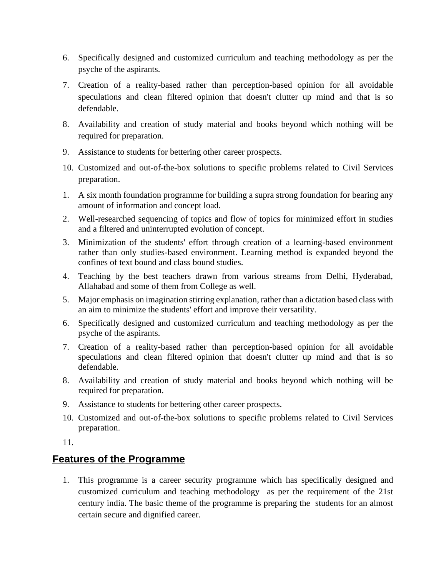- 6. Specifically designed and customized curriculum and teaching methodology as per the psyche of the aspirants.
- 7. Creation of a reality-based rather than perception-based opinion for all avoidable speculations and clean filtered opinion that doesn't clutter up mind and that is so defendable.
- 8. Availability and creation of study material and books beyond which nothing will be required for preparation.
- 9. Assistance to students for bettering other career prospects.
- 10. Customized and out-of-the-box solutions to specific problems related to Civil Services preparation.
- 1. A six month foundation programme for building a supra strong foundation for bearing any amount of information and concept load.
- 2. Well-researched sequencing of topics and flow of topics for minimized effort in studies and a filtered and uninterrupted evolution of concept.
- 3. Minimization of the students' effort through creation of a learning-based environment rather than only studies-based environment. Learning method is expanded beyond the confines of text bound and class bound studies.
- 4. Teaching by the best teachers drawn from various streams from Delhi, Hyderabad, Allahabad and some of them from College as well.
- 5. Major emphasis on imagination stirring explanation, rather than a dictation based class with an aim to minimize the students' effort and improve their versatility.
- 6. Specifically designed and customized curriculum and teaching methodology as per the psyche of the aspirants.
- 7. Creation of a reality-based rather than perception-based opinion for all avoidable speculations and clean filtered opinion that doesn't clutter up mind and that is so defendable.
- 8. Availability and creation of study material and books beyond which nothing will be required for preparation.
- 9. Assistance to students for bettering other career prospects.
- 10. Customized and out-of-the-box solutions to specific problems related to Civil Services preparation.

11.

## **Features of the Programme**

1. This programme is a career security programme which has specifically designed and customized curriculum and teaching methodology as per the requirement of the 21st century india. The basic theme of the programme is preparing the students for an almost certain secure and dignified career.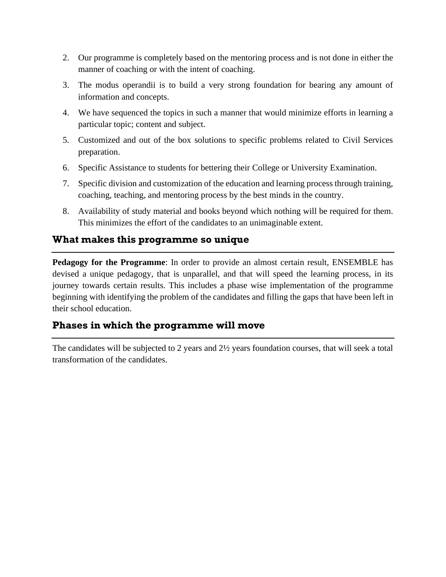- 2. Our programme is completely based on the mentoring process and is not done in either the manner of coaching or with the intent of coaching.
- 3. The modus operandii is to build a very strong foundation for bearing any amount of information and concepts.
- 4. We have sequenced the topics in such a manner that would minimize efforts in learning a particular topic; content and subject.
- 5. Customized and out of the box solutions to specific problems related to Civil Services preparation.
- 6. Specific Assistance to students for bettering their College or University Examination.
- 7. Specific division and customization of the education and learning process through training, coaching, teaching, and mentoring process by the best minds in the country.
- 8. Availability of study material and books beyond which nothing will be required for them. This minimizes the effort of the candidates to an unimaginable extent.

## **What makes this programme so unique**

**Pedagogy for the Programme**: In order to provide an almost certain result, ENSEMBLE has devised a unique pedagogy, that is unparallel, and that will speed the learning process, in its journey towards certain results. This includes a phase wise implementation of the programme beginning with identifying the problem of the candidates and filling the gaps that have been left in their school education.

## **Phases in which the programme will move**

The candidates will be subjected to 2 years and 2½ years foundation courses, that will seek a total transformation of the candidates.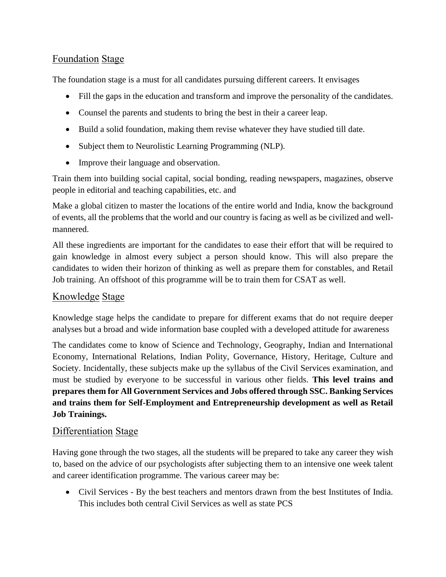## Foundation Stage

The foundation stage is a must for all candidates pursuing different careers. It envisages

- Fill the gaps in the education and transform and improve the personality of the candidates.
- Counsel the parents and students to bring the best in their a career leap.
- Build a solid foundation, making them revise whatever they have studied till date.
- Subject them to Neurolistic Learning Programming (NLP).
- Improve their language and observation.

Train them into building social capital, social bonding, reading newspapers, magazines, observe people in editorial and teaching capabilities, etc. and

Make a global citizen to master the locations of the entire world and India, know the background of events, all the problems that the world and our country is facing as well as be civilized and wellmannered.

All these ingredients are important for the candidates to ease their effort that will be required to gain knowledge in almost every subject a person should know. This will also prepare the candidates to widen their horizon of thinking as well as prepare them for constables, and Retail Job training. An offshoot of this programme will be to train them for CSAT as well.

#### Knowledge Stage

Knowledge stage helps the candidate to prepare for different exams that do not require deeper analyses but a broad and wide information base coupled with a developed attitude for awareness

The candidates come to know of Science and Technology, Geography, Indian and International Economy, International Relations, Indian Polity, Governance, History, Heritage, Culture and Society. Incidentally, these subjects make up the syllabus of the Civil Services examination, and must be studied by everyone to be successful in various other fields. **This level trains and prepares them for All Government Services and Jobs offered through SSC. Banking Services and trains them for Self-Employment and Entrepreneurship development as well as Retail Job Trainings.**

#### Differentiation Stage

Having gone through the two stages, all the students will be prepared to take any career they wish to, based on the advice of our psychologists after subjecting them to an intensive one week talent and career identification programme. The various career may be:

• Civil Services - By the best teachers and mentors drawn from the best Institutes of India. This includes both central Civil Services as well as state PCS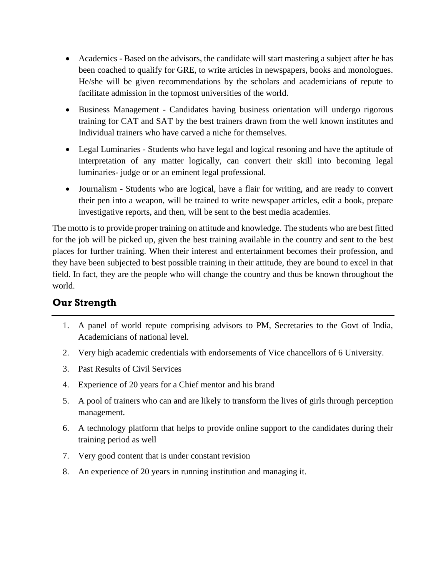- Academics Based on the advisors, the candidate will start mastering a subject after he has been coached to qualify for GRE, to write articles in newspapers, books and monologues. He/she will be given recommendations by the scholars and academicians of repute to facilitate admission in the topmost universities of the world.
- Business Management Candidates having business orientation will undergo rigorous training for CAT and SAT by the best trainers drawn from the well known institutes and Individual trainers who have carved a niche for themselves.
- Legal Luminaries Students who have legal and logical resoning and have the aptitude of interpretation of any matter logically, can convert their skill into becoming legal luminaries- judge or or an eminent legal professional.
- Journalism Students who are logical, have a flair for writing, and are ready to convert their pen into a weapon, will be trained to write newspaper articles, edit a book, prepare investigative reports, and then, will be sent to the best media academies.

The motto is to provide proper training on attitude and knowledge. The students who are best fitted for the job will be picked up, given the best training available in the country and sent to the best places for further training. When their interest and entertainment becomes their profession, and they have been subjected to best possible training in their attitude, they are bound to excel in that field. In fact, they are the people who will change the country and thus be known throughout the world.

## **Our Strength**

- 1. A panel of world repute comprising advisors to PM, Secretaries to the Govt of India, Academicians of national level.
- 2. Very high academic credentials with endorsements of Vice chancellors of 6 University.
- 3. Past Results of Civil Services
- 4. Experience of 20 years for a Chief mentor and his brand
- 5. A pool of trainers who can and are likely to transform the lives of girls through perception management.
- 6. A technology platform that helps to provide online support to the candidates during their training period as well
- 7. Very good content that is under constant revision
- 8. An experience of 20 years in running institution and managing it.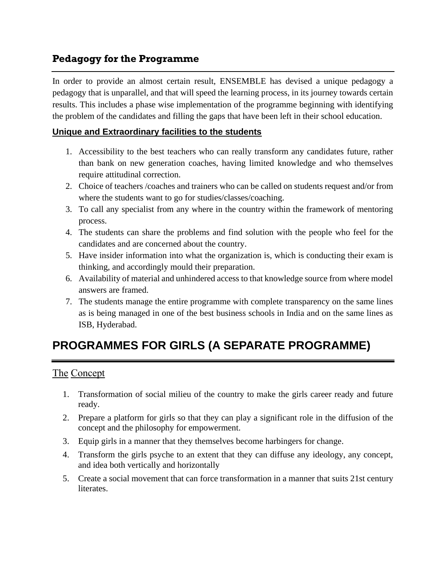## **Pedagogy for the Programme**

In order to provide an almost certain result, ENSEMBLE has devised a unique pedagogy a pedagogy that is unparallel, and that will speed the learning process, in its journey towards certain results. This includes a phase wise implementation of the programme beginning with identifying the problem of the candidates and filling the gaps that have been left in their school education.

#### **Unique and Extraordinary facilities to the students**

- 1. Accessibility to the best teachers who can really transform any candidates future, rather than bank on new generation coaches, having limited knowledge and who themselves require attitudinal correction.
- 2. Choice of teachers /coaches and trainers who can be called on students request and/or from where the students want to go for studies/classes/coaching.
- 3. To call any specialist from any where in the country within the framework of mentoring process.
- 4. The students can share the problems and find solution with the people who feel for the candidates and are concerned about the country.
- 5. Have insider information into what the organization is, which is conducting their exam is thinking, and accordingly mould their preparation.
- 6. Availability of material and unhindered access to that knowledge source from where model answers are framed.
- 7. The students manage the entire programme with complete transparency on the same lines as is being managed in one of the best business schools in India and on the same lines as ISB, Hyderabad.

# **PROGRAMMES FOR GIRLS (A SEPARATE PROGRAMME)**

#### The Concept

- 1. Transformation of social milieu of the country to make the girls career ready and future ready.
- 2. Prepare a platform for girls so that they can play a significant role in the diffusion of the concept and the philosophy for empowerment.
- 3. Equip girls in a manner that they themselves become harbingers for change.
- 4. Transform the girls psyche to an extent that they can diffuse any ideology, any concept, and idea both vertically and horizontally
- 5. Create a social movement that can force transformation in a manner that suits 21st century literates.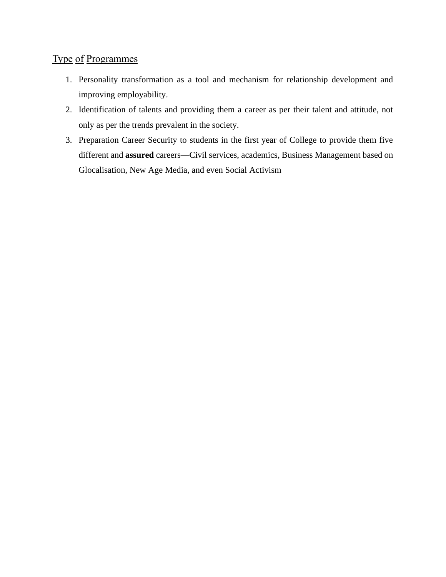## Type of Programmes

- 1. Personality transformation as a tool and mechanism for relationship development and improving employability.
- 2. Identification of talents and providing them a career as per their talent and attitude, not only as per the trends prevalent in the society.
- 3. Preparation Career Security to students in the first year of College to provide them five different and **assured** careers—Civil services, academics, Business Management based on Glocalisation, New Age Media, and even Social Activism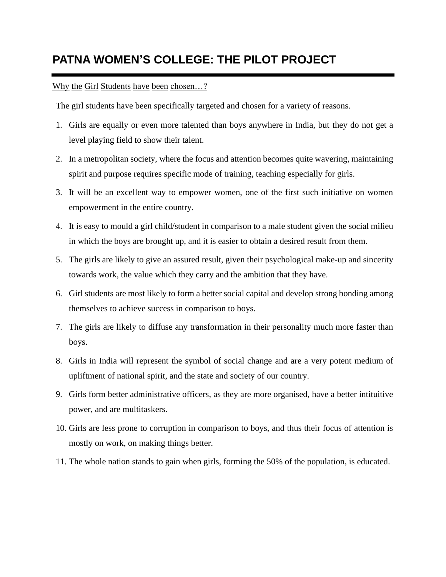# **PATNA WOMEN'S COLLEGE: THE PILOT PROJECT**

#### Why the Girl Students have been chosen...?

The girl students have been specifically targeted and chosen for a variety of reasons.

- 1. Girls are equally or even more talented than boys anywhere in India, but they do not get a level playing field to show their talent.
- 2. In a metropolitan society, where the focus and attention becomes quite wavering, maintaining spirit and purpose requires specific mode of training, teaching especially for girls.
- 3. It will be an excellent way to empower women, one of the first such initiative on women empowerment in the entire country.
- 4. It is easy to mould a girl child/student in comparison to a male student given the social milieu in which the boys are brought up, and it is easier to obtain a desired result from them.
- 5. The girls are likely to give an assured result, given their psychological make-up and sincerity towards work, the value which they carry and the ambition that they have.
- 6. Girl students are most likely to form a better social capital and develop strong bonding among themselves to achieve success in comparison to boys.
- 7. The girls are likely to diffuse any transformation in their personality much more faster than boys.
- 8. Girls in India will represent the symbol of social change and are a very potent medium of upliftment of national spirit, and the state and society of our country.
- 9. Girls form better administrative officers, as they are more organised, have a better intituitive power, and are multitaskers.
- 10. Girls are less prone to corruption in comparison to boys, and thus their focus of attention is mostly on work, on making things better.
- 11. The whole nation stands to gain when girls, forming the 50% of the population, is educated.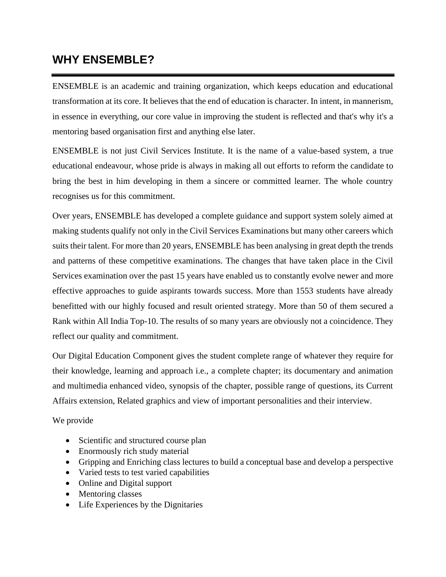## **WHY ENSEMBLE?**

ENSEMBLE is an academic and training organization, which keeps education and educational transformation at its core. It believes that the end of education is character. In intent, in mannerism, in essence in everything, our core value in improving the student is reflected and that's why it's a mentoring based organisation first and anything else later.

ENSEMBLE is not just Civil Services Institute. It is the name of a value-based system, a true educational endeavour, whose pride is always in making all out efforts to reform the candidate to bring the best in him developing in them a sincere or committed learner. The whole country recognises us for this commitment.

Over years, ENSEMBLE has developed a complete guidance and support system solely aimed at making students qualify not only in the Civil Services Examinations but many other careers which suits their talent. For more than 20 years, ENSEMBLE has been analysing in great depth the trends and patterns of these competitive examinations. The changes that have taken place in the Civil Services examination over the past 15 years have enabled us to constantly evolve newer and more effective approaches to guide aspirants towards success. More than 1553 students have already benefitted with our highly focused and result oriented strategy. More than 50 of them secured a Rank within All India Top-10. The results of so many years are obviously not a coincidence. They reflect our quality and commitment.

Our Digital Education Component gives the student complete range of whatever they require for their knowledge, learning and approach i.e., a complete chapter; its documentary and animation and multimedia enhanced video, synopsis of the chapter, possible range of questions, its Current Affairs extension, Related graphics and view of important personalities and their interview.

We provide

- Scientific and structured course plan
- Enormously rich study material
- Gripping and Enriching class lectures to build a conceptual base and develop a perspective
- Varied tests to test varied capabilities
- Online and Digital support
- Mentoring classes
- Life Experiences by the Dignitaries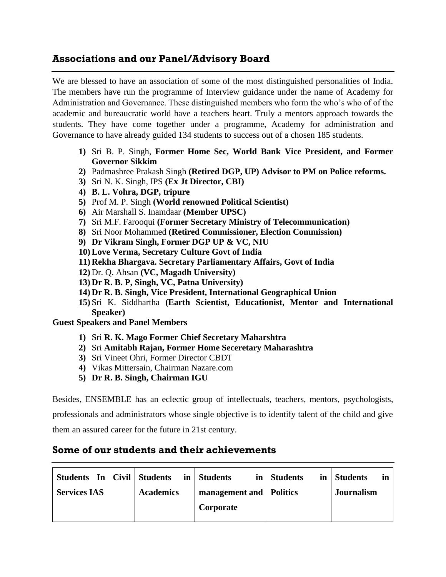## **Associations and our Panel/Advisory Board**

We are blessed to have an association of some of the most distinguished personalities of India. The members have run the programme of Interview guidance under the name of Academy for Administration and Governance. These distinguished members who form the who's who of of the academic and bureaucratic world have a teachers heart. Truly a mentors approach towards the students. They have come together under a programme, Academy for administration and Governance to have already guided 134 students to success out of a chosen 185 students.

- **1)** Sri B. P. Singh, **Former Home Sec, World Bank Vice President, and Former Governor Sikkim**
- **2)** Padmashree Prakash Singh **(Retired DGP, UP) Advisor to PM on Police reforms.**
- **3)** Sri N. K. Singh, IPS **(Ex Jt Director, CBI)**
- **4) B. L. Vohra, DGP, tripure**
- **5)** Prof M. P. Singh **(World renowned Political Scientist)**
- **6)** Air Marshall S. Inamdaar **(Member UPSC)**
- **7)** Sri M.F. Farooqui **(Former Secretary Ministry of Telecommunication)**
- **8)** Sri Noor Mohammed **(Retired Commissioner, Election Commission)**
- **9) Dr Vikram Singh, Former DGP UP & VC, NIU**
- **10) Love Verma, Secretary Culture Govt of India**
- **11) Rekha Bhargava. Secretary Parliamentary Affairs, Govt of India**
- **12)** Dr. Q. Ahsan **(VC, Magadh University)**
- **13) Dr R. B. P, Singh, VC, Patna University)**
- **14) Dr R. B. Singh, Vice President, International Geographical Union**
- **15)** Sri K. Siddhartha **(Earth Scientist, Educationist, Mentor and International Speaker)**

**Guest Speakers and Panel Members**

- **1)** Sri **R. K. Mago Former Chief Secretary Maharshtra**
- **2)** Sri **Amitabh Rajan, Former Home Seceretary Maharashtra**
- **3)** Sri Vineet Ohri, Former Director CBDT
- **4)** Vikas Mittersain, Chairman Nazare.com
- **5) Dr R. B. Singh, Chairman IGU**

Besides, ENSEMBLE has an eclectic group of intellectuals, teachers, mentors, psychologists,

professionals and administrators whose single objective is to identify talent of the child and give them an assured career for the future in 21st century.

## **Some of our students and their achievements**

| Students In Civil Students |                  | in Students               | in Students | in Students<br>in |
|----------------------------|------------------|---------------------------|-------------|-------------------|
| <b>Services IAS</b>        | <b>Academics</b> | management and   Politics |             | <b>Journalism</b> |
|                            |                  | Corporate                 |             |                   |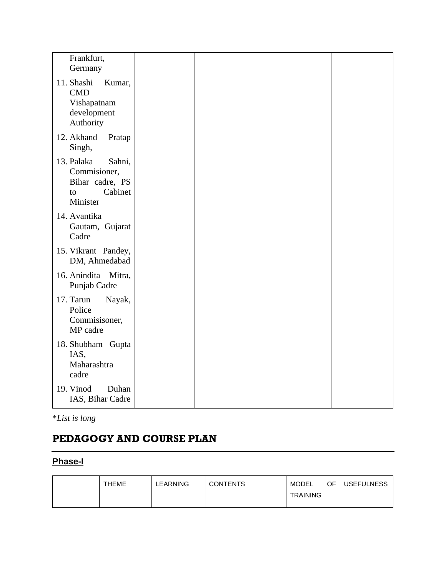| Frankfurt,<br>Germany                                                                |  |  |
|--------------------------------------------------------------------------------------|--|--|
| 11. Shashi<br>Kumar,<br><b>CMD</b><br>Vishapatnam<br>development<br>Authority        |  |  |
| 12. Akhand<br>Pratap<br>Singh,                                                       |  |  |
| 13. Palaka<br>Sahni,<br>Commisioner,<br>Bihar cadre, PS<br>Cabinet<br>to<br>Minister |  |  |
| 14. Avantika<br>Gautam, Gujarat<br>Cadre                                             |  |  |
| 15. Vikrant Pandey,<br>DM, Ahmedabad                                                 |  |  |
| 16. Anindita Mitra,<br>Punjab Cadre                                                  |  |  |
| 17. Tarun<br>Nayak,<br>Police<br>Commisisoner,<br>MP cadre                           |  |  |
| 18. Shubham Gupta<br>IAS,<br>Maharashtra<br>cadre                                    |  |  |
| 19. Vinod<br>Duhan<br>IAS, Bihar Cadre                                               |  |  |

\**List is long*

## **PEDAGOGY AND COURSE PLAN**

## **Phase-I**

| <b>THEME</b> | LEARNING | <b>CONTENTS</b> | MODEL           | OF. | <b>USEFULNESS</b> |
|--------------|----------|-----------------|-----------------|-----|-------------------|
|              |          |                 | <b>TRAINING</b> |     |                   |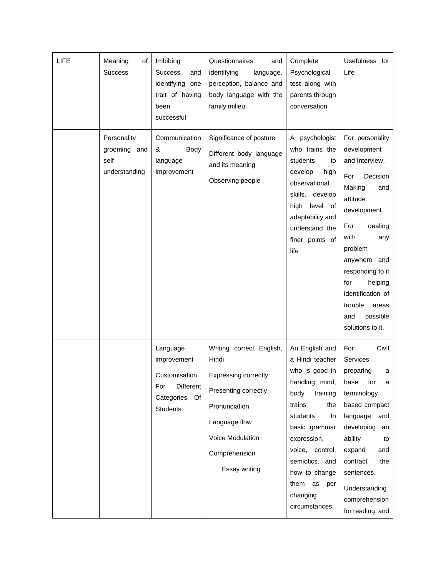| <b>LIFE</b> | Meaning<br>οf<br><b>Success</b>                      | Imbibing<br><b>Success</b><br>and<br>identifying one<br>trait of having<br>been<br>successful              | Questionnaires<br>and<br>identifying<br>language,<br>perception, balance and<br>body language with the<br>family milieu.                                                         | Complete<br>Psychological<br>test along with<br>parents through<br>conversation                                                                                                                                                                                     | Usefulness for<br>Life                                                                                                                                                                                                                                                                             |
|-------------|------------------------------------------------------|------------------------------------------------------------------------------------------------------------|----------------------------------------------------------------------------------------------------------------------------------------------------------------------------------|---------------------------------------------------------------------------------------------------------------------------------------------------------------------------------------------------------------------------------------------------------------------|----------------------------------------------------------------------------------------------------------------------------------------------------------------------------------------------------------------------------------------------------------------------------------------------------|
|             | Personality<br>grooming and<br>self<br>understanding | Communication<br>&<br>Body<br>language<br>improvement                                                      | Significance of posture<br>Different body language<br>and its meaning<br>Observing people                                                                                        | A psychologist<br>who trains the<br>students<br>to<br>develop<br>high<br>observational<br>skills, develop<br>high<br>level<br>of<br>adaptability and<br>understand the<br>finer points of<br>life                                                                   | For personality<br>development<br>and Interview.<br>For<br>Decision<br>Making<br>and<br>attitude<br>development.<br>dealing<br>For<br>with<br>any<br>problem<br>anywhere and<br>responding to it<br>for<br>helping<br>identification of<br>trouble<br>areas<br>possible<br>and<br>solutions to it. |
|             |                                                      | Language<br>improvement<br>Customisation<br><b>Different</b><br>For<br>Categories<br>Of<br><b>Students</b> | Writing correct English,<br>Hindi<br><b>Expressing correctly</b><br>Presenting correctly<br>Pronunciation<br>Language flow<br>Voice Modulation<br>Comprehension<br>Essay writing | An English and<br>a Hindi teacher<br>who is good in<br>handling mind,<br>body<br>training<br>trains<br>the<br>students<br>In.<br>basic grammar<br>expression,<br>voice, control,<br>semiotics, and<br>how to change<br>them as<br>per<br>changing<br>circumstances. | Civil<br>For<br><b>Services</b><br>preparing<br>a<br>base<br>for<br>a<br>terminology<br>based compact<br>language<br>and<br>developing<br>an<br>ability<br>to<br>expand<br>and<br>contract<br>the<br>sentences.<br>Understanding<br>comprehension<br>for reading, and                              |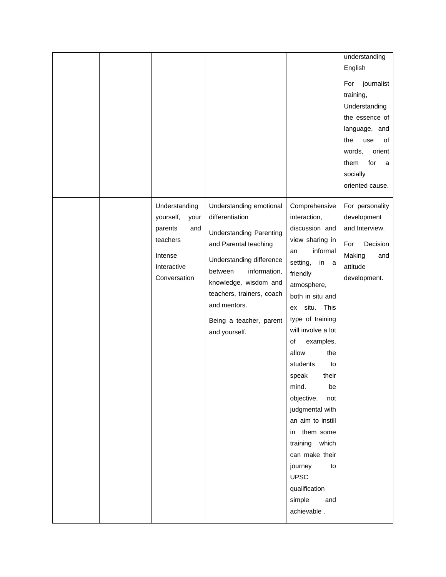|  | Understanding<br>yourself,<br>your<br>parents<br>and<br>teachers<br>Intense<br>Interactive<br>Conversation | Understanding emotional<br>differentiation<br><b>Understanding Parenting</b><br>and Parental teaching<br>Understanding difference<br>between<br>information,<br>knowledge, wisdom and | Comprehensive<br>interaction,<br>discussion and<br>view sharing in<br>informal<br>an<br>setting,<br>in<br>a<br>friendly<br>atmosphere,                                                                                                                                                                                                                              | Understanding<br>the essence of<br>language, and<br>the<br>use<br>οf<br>words,<br>orient<br>for<br>them<br>a<br>socially<br>oriented cause.<br>For personality<br>development<br>and Interview.<br>For<br>Decision<br>Making<br>and<br>attitude<br>development. |
|--|------------------------------------------------------------------------------------------------------------|---------------------------------------------------------------------------------------------------------------------------------------------------------------------------------------|---------------------------------------------------------------------------------------------------------------------------------------------------------------------------------------------------------------------------------------------------------------------------------------------------------------------------------------------------------------------|-----------------------------------------------------------------------------------------------------------------------------------------------------------------------------------------------------------------------------------------------------------------|
|  |                                                                                                            | teachers, trainers, coach<br>and mentors.<br>Being a teacher, parent<br>and yourself.                                                                                                 | both in situ and<br>ex situ. This<br>type of training<br>will involve a lot<br>examples,<br>of<br>allow<br>the<br>students<br>to<br>speak<br>their<br>be<br>mind.<br>objective,<br>not<br>judgmental with<br>an aim to instill<br>in them some<br>training which<br>can make their<br>journey<br>to<br><b>UPSC</b><br>qualification<br>simple<br>and<br>achievable. |                                                                                                                                                                                                                                                                 |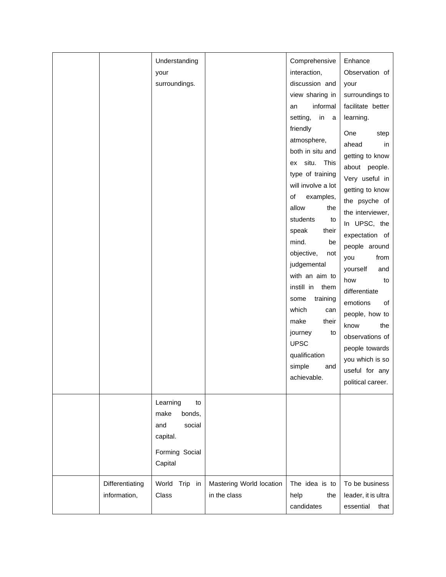|                                 | Understanding<br>your<br>surroundings.                                                     |                                          | Comprehensive<br>interaction,<br>discussion and<br>view sharing in<br>informal<br>an<br>in<br>setting,<br>a<br>friendly<br>atmosphere,<br>both in situ and<br>ex situ. This<br>type of training<br>will involve a lot<br>of<br>examples,<br>allow<br>the<br>students<br>to<br>speak<br>their<br>mind.<br>be<br>objective,<br>not<br>judgemental<br>with an aim to<br>instill in<br>them<br>some<br>training<br>which<br>can<br>make<br>their<br>journey<br>to<br><b>UPSC</b><br>qualification<br>simple<br>and<br>achievable. | Enhance<br>Observation of<br>your<br>surroundings to<br>facilitate better<br>learning.<br>One<br>step<br>ahead<br>in<br>getting to know<br>about people.<br>Very useful in<br>getting to know<br>the psyche of<br>the interviewer,<br>In UPSC, the<br>expectation of<br>people around<br>you<br>from<br>yourself<br>and<br>how<br>to<br>differentiate<br>emotions<br>of<br>people, how to<br>the<br>know<br>observations of<br>people towards<br>you which is so<br>useful for any<br>political career. |
|---------------------------------|--------------------------------------------------------------------------------------------|------------------------------------------|-------------------------------------------------------------------------------------------------------------------------------------------------------------------------------------------------------------------------------------------------------------------------------------------------------------------------------------------------------------------------------------------------------------------------------------------------------------------------------------------------------------------------------|---------------------------------------------------------------------------------------------------------------------------------------------------------------------------------------------------------------------------------------------------------------------------------------------------------------------------------------------------------------------------------------------------------------------------------------------------------------------------------------------------------|
|                                 | Learning<br>to<br>bonds,<br>make<br>social<br>and<br>capital.<br>Forming Social<br>Capital |                                          |                                                                                                                                                                                                                                                                                                                                                                                                                                                                                                                               |                                                                                                                                                                                                                                                                                                                                                                                                                                                                                                         |
| Differentiating<br>information, | World Trip in<br>Class                                                                     | Mastering World location<br>in the class | The idea is to<br>help<br>the<br>candidates                                                                                                                                                                                                                                                                                                                                                                                                                                                                                   | To be business<br>leader, it is ultra<br>essential<br>that                                                                                                                                                                                                                                                                                                                                                                                                                                              |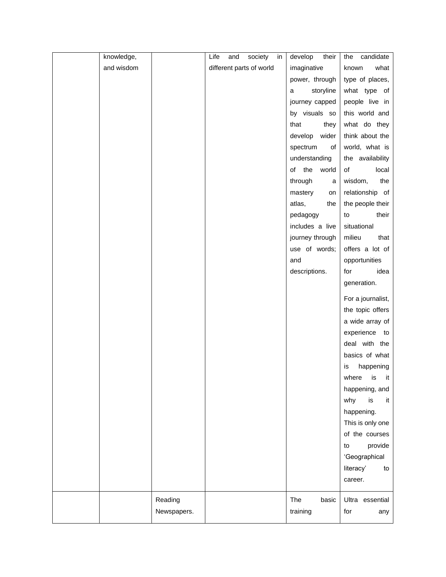| knowledge, |             | Life<br>and              | society | in | develop<br>their | candidate<br>the  |
|------------|-------------|--------------------------|---------|----|------------------|-------------------|
| and wisdom |             | different parts of world |         |    | imaginative      | known<br>what     |
|            |             |                          |         |    | power, through   | type of places,   |
|            |             |                          |         |    | storyline<br>a   | what type of      |
|            |             |                          |         |    | journey capped   | people live in    |
|            |             |                          |         |    | by visuals so    | this world and    |
|            |             |                          |         |    | that<br>they     | what do they      |
|            |             |                          |         |    | develop wider    | think about the   |
|            |             |                          |         |    | spectrum<br>of   | world, what is    |
|            |             |                          |         |    | understanding    | the availability  |
|            |             |                          |         |    | of the world     | of<br>local       |
|            |             |                          |         |    | through<br>a     | wisdom,<br>the    |
|            |             |                          |         |    | mastery<br>on    | relationship of   |
|            |             |                          |         |    | atlas,<br>the    | the people their  |
|            |             |                          |         |    | pedagogy         | their<br>to       |
|            |             |                          |         |    | includes a live  | situational       |
|            |             |                          |         |    | journey through  | milieu<br>that    |
|            |             |                          |         |    | use of words;    | offers a lot of   |
|            |             |                          |         |    | and              | opportunities     |
|            |             |                          |         |    | descriptions.    | for<br>idea       |
|            |             |                          |         |    |                  | generation.       |
|            |             |                          |         |    |                  | For a journalist, |
|            |             |                          |         |    |                  | the topic offers  |
|            |             |                          |         |    |                  | a wide array of   |
|            |             |                          |         |    |                  | experience to     |
|            |             |                          |         |    |                  | deal with the     |
|            |             |                          |         |    |                  | basics of what    |
|            |             |                          |         |    |                  | happening<br>is   |
|            |             |                          |         |    |                  | where is it       |
|            |             |                          |         |    |                  | happening, and    |
|            |             |                          |         |    |                  | is<br>why<br>it   |
|            |             |                          |         |    |                  | happening.        |
|            |             |                          |         |    |                  | This is only one  |
|            |             |                          |         |    |                  | of the courses    |
|            |             |                          |         |    |                  | provide<br>to     |
|            |             |                          |         |    |                  | 'Geographical     |
|            |             |                          |         |    |                  | literacy'<br>to   |
|            |             |                          |         |    |                  | career.           |
|            | Reading     |                          |         |    | The<br>basic     | Ultra essential   |
|            | Newspapers. |                          |         |    | training         | for<br>any        |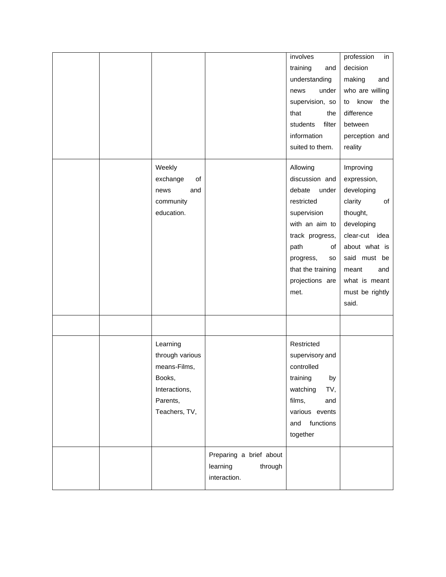|                 |                                                                | involves<br>training<br>and          | profession<br>in<br>decision     |
|-----------------|----------------------------------------------------------------|--------------------------------------|----------------------------------|
|                 |                                                                | understanding<br>under<br>news       | making<br>and<br>who are willing |
|                 |                                                                | supervision, so                      | know<br>the<br>to                |
|                 |                                                                | that<br>the                          | difference                       |
|                 |                                                                | filter<br>students                   | between                          |
|                 |                                                                | information                          | perception and                   |
|                 |                                                                | suited to them.                      | reality                          |
| Weekly          |                                                                | Allowing                             | Improving                        |
| exchange<br>of  |                                                                | discussion and                       | expression,                      |
| news<br>and     |                                                                | debate<br>under                      | developing                       |
| community       |                                                                | restricted                           | clarity<br>of                    |
| education.      |                                                                | supervision                          | thought,                         |
|                 |                                                                | with an aim to                       | developing                       |
|                 |                                                                | track progress,                      | clear-cut idea                   |
|                 |                                                                | path<br>of                           | about what is                    |
|                 |                                                                | progress,<br>so                      | said must be                     |
|                 |                                                                | that the training<br>projections are | meant<br>and<br>what is meant    |
|                 |                                                                | met.                                 | must be rightly                  |
|                 |                                                                |                                      | said.                            |
|                 |                                                                |                                      |                                  |
| Learning        |                                                                | Restricted                           |                                  |
| through various |                                                                | supervisory and                      |                                  |
| means-Films,    |                                                                | controlled                           |                                  |
| Books,          |                                                                | training<br>by                       |                                  |
| Interactions,   |                                                                | watching<br>TV,                      |                                  |
| Parents,        |                                                                | films,<br>and                        |                                  |
| Teachers, TV,   |                                                                | various events                       |                                  |
|                 |                                                                | functions<br>and                     |                                  |
|                 |                                                                | together                             |                                  |
|                 | Preparing a brief about<br>learning<br>through<br>interaction. |                                      |                                  |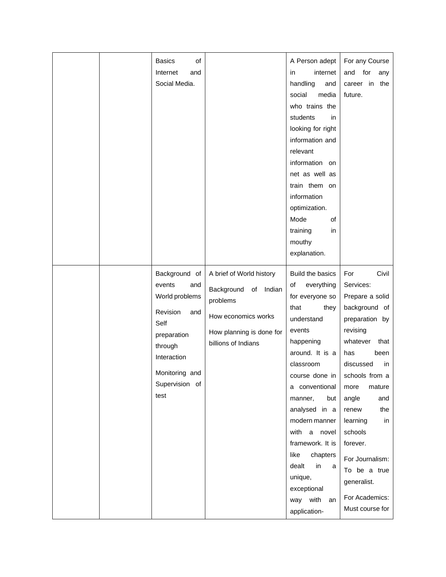|  | Internet<br>and<br>Social Media.<br>Background of<br>events<br>and                                                                    | A brief of World history<br>of Indian                                                            | internet<br>in<br>handling<br>and<br>social<br>media<br>who trains the<br>students<br>in.<br>looking for right<br>information and<br>relevant<br>information on<br>net as well as<br>train them on<br>information<br>optimization.<br>Mode<br>of<br>training<br>in<br>mouthy<br>explanation.<br>Build the basics<br>everything<br>of | and<br>for<br>any<br>career in<br>the<br>future.<br>Civil<br>For<br>Services:                                                                                                                                                                                                                                            |
|--|---------------------------------------------------------------------------------------------------------------------------------------|--------------------------------------------------------------------------------------------------|--------------------------------------------------------------------------------------------------------------------------------------------------------------------------------------------------------------------------------------------------------------------------------------------------------------------------------------|--------------------------------------------------------------------------------------------------------------------------------------------------------------------------------------------------------------------------------------------------------------------------------------------------------------------------|
|  | World problems<br><b>Revision</b><br>and<br>Self<br>preparation<br>through<br>Interaction<br>Monitoring and<br>Supervision of<br>test | Background<br>problems<br>How economics works<br>How planning is done for<br>billions of Indians | for everyone so<br>that<br>they<br>understand<br>events<br>happening<br>around. It is a<br>classroom<br>course done in<br>a conventional<br>manner,<br>but<br>analysed in a<br>modern manner<br>with a novel<br>framework. It is<br>like<br>chapters<br>dealt<br>in<br>a<br>unique,<br>exceptional<br>way with<br>an<br>application- | Prepare a solid<br>background of<br>preparation by<br>revising<br>whatever<br>that<br>been<br>has<br>discussed<br>in<br>schools from a<br>mature<br>more<br>angle<br>and<br>the<br>renew<br>learning<br>in<br>schools<br>forever.<br>For Journalism:<br>To be a true<br>generalist.<br>For Academics:<br>Must course for |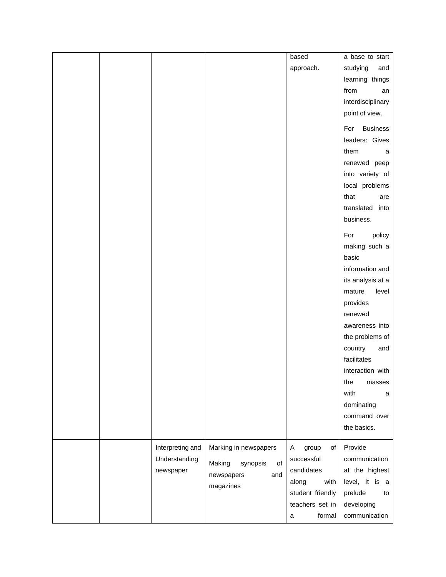|  |                  |                          | based            | a base to start        |
|--|------------------|--------------------------|------------------|------------------------|
|  |                  |                          | approach.        | studying<br>and        |
|  |                  |                          |                  | learning things        |
|  |                  |                          |                  | from<br>an             |
|  |                  |                          |                  | interdisciplinary      |
|  |                  |                          |                  | point of view.         |
|  |                  |                          |                  | <b>Business</b><br>For |
|  |                  |                          |                  | leaders: Gives         |
|  |                  |                          |                  | them<br>a              |
|  |                  |                          |                  | renewed peep           |
|  |                  |                          |                  | into variety of        |
|  |                  |                          |                  | local problems         |
|  |                  |                          |                  | that<br>are            |
|  |                  |                          |                  | translated<br>into     |
|  |                  |                          |                  | business.              |
|  |                  |                          |                  | For<br>policy          |
|  |                  |                          |                  | making such a          |
|  |                  |                          |                  | basic                  |
|  |                  |                          |                  | information and        |
|  |                  |                          |                  | its analysis at a      |
|  |                  |                          |                  | level<br>mature        |
|  |                  |                          |                  | provides               |
|  |                  |                          |                  | renewed                |
|  |                  |                          |                  | awareness into         |
|  |                  |                          |                  | the problems of        |
|  |                  |                          |                  | country<br>and         |
|  |                  |                          |                  | facilitates            |
|  |                  |                          |                  | interaction with       |
|  |                  |                          |                  | the<br>masses          |
|  |                  |                          |                  | with<br>a              |
|  |                  |                          |                  | dominating             |
|  |                  |                          |                  | command over           |
|  |                  |                          |                  | the basics.            |
|  |                  |                          |                  |                        |
|  | Interpreting and | Marking in newspapers    | A<br>group<br>of | Provide                |
|  | Understanding    | Making<br>synopsis<br>of | successful       | communication          |
|  | newspaper        | newspapers<br>and        | candidates       | at the highest         |
|  |                  | magazines                | along<br>with    | level, It is a         |
|  |                  |                          | student friendly | prelude<br>to          |
|  |                  |                          | teachers set in  | developing             |
|  |                  |                          | formal<br>a      | communication          |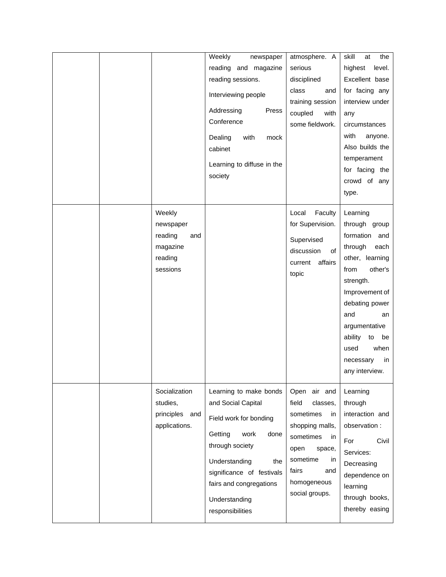|  |                                                                          | Weekly<br>newspaper<br>reading and magazine<br>reading sessions.<br>Interviewing people<br>Addressing<br>Press<br>Conference<br>Dealing<br>with<br>mock<br>cabinet<br>Learning to diffuse in the<br>society                               | atmosphere. A<br>serious<br>disciplined<br>class<br>and<br>training session<br>coupled<br>with<br>some fieldwork.                                                               | skill<br>the<br>at<br>highest<br>level.<br>Excellent base<br>for facing any<br>interview under<br>any<br>circumstances<br>with<br>anyone.<br>Also builds the<br>temperament<br>for facing the<br>crowd of any                                                           |
|--|--------------------------------------------------------------------------|-------------------------------------------------------------------------------------------------------------------------------------------------------------------------------------------------------------------------------------------|---------------------------------------------------------------------------------------------------------------------------------------------------------------------------------|-------------------------------------------------------------------------------------------------------------------------------------------------------------------------------------------------------------------------------------------------------------------------|
|  | Weekly<br>newspaper<br>reading<br>and<br>magazine<br>reading<br>sessions |                                                                                                                                                                                                                                           | Faculty<br>Local<br>for Supervision.<br>Supervised<br>discussion<br>of<br>affairs<br>current<br>topic                                                                           | type.<br>Learning<br>through group<br>formation and<br>through<br>each<br>other, learning<br>other's<br>from<br>strength.<br>Improvement of<br>debating power<br>and<br>an<br>argumentative<br>ability<br>be<br>to<br>when<br>used<br>necessary<br>in<br>any interview. |
|  | Socialization<br>studies,<br>principles<br>and<br>applications.          | Learning to make bonds<br>and Social Capital<br>Field work for bonding<br>Getting<br>work<br>done<br>through society<br>Understanding<br>the<br>significance of festivals<br>fairs and congregations<br>Understanding<br>responsibilities | Open air and<br>field<br>classes,<br>sometimes<br>in<br>shopping malls,<br>sometimes<br>in<br>open<br>space,<br>sometime<br>in<br>fairs<br>and<br>homogeneous<br>social groups. | Learning<br>through<br>interaction and<br>observation :<br>For<br>Civil<br>Services:<br>Decreasing<br>dependence on<br>learning<br>through books,<br>thereby easing                                                                                                     |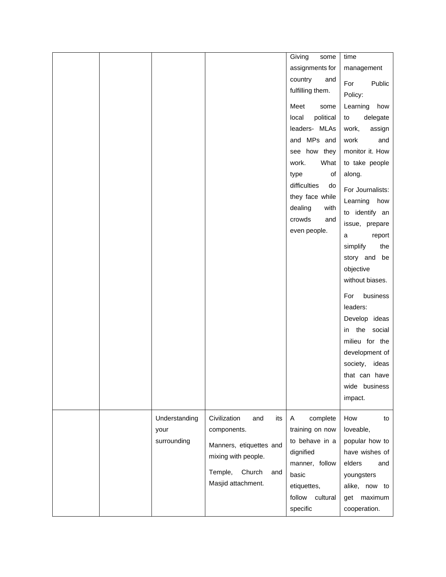|  |               |                            | Giving<br>some     | time             |
|--|---------------|----------------------------|--------------------|------------------|
|  |               |                            | assignments for    | management       |
|  |               |                            | country<br>and     |                  |
|  |               |                            | fulfilling them.   | For<br>Public    |
|  |               |                            |                    | Policy:          |
|  |               |                            | Meet<br>some       | Learning<br>how  |
|  |               |                            | political<br>local | delegate<br>to   |
|  |               |                            | leaders- MLAs      | work,<br>assign  |
|  |               |                            | and MPs and        | work<br>and      |
|  |               |                            | see how they       | monitor it. How  |
|  |               |                            | work.<br>What      | to take people   |
|  |               |                            | type<br>of         | along.           |
|  |               |                            | difficulties<br>do | For Journalists: |
|  |               |                            | they face while    | Learning<br>how  |
|  |               |                            | dealing<br>with    | to identify an   |
|  |               |                            | crowds<br>and      | issue, prepare   |
|  |               |                            | even people.       | report<br>a      |
|  |               |                            |                    | the<br>simplify  |
|  |               |                            |                    | story and be     |
|  |               |                            |                    | objective        |
|  |               |                            |                    | without biases.  |
|  |               |                            |                    |                  |
|  |               |                            |                    | For<br>business  |
|  |               |                            |                    | leaders:         |
|  |               |                            |                    | Develop ideas    |
|  |               |                            |                    | in the social    |
|  |               |                            |                    | milieu for the   |
|  |               |                            |                    | development of   |
|  |               |                            |                    | society, ideas   |
|  |               |                            |                    | that can have    |
|  |               |                            |                    | wide business    |
|  |               |                            |                    | impact.          |
|  | Understanding | Civilization<br>and<br>its | A<br>complete      | How<br>to        |
|  | your          | components.                | training on now    | loveable,        |
|  | surrounding   |                            | to behave in a     | popular how to   |
|  |               | Manners, etiquettes and    | dignified          | have wishes of   |
|  |               | mixing with people.        | manner, follow     | elders<br>and    |
|  |               | Temple,<br>Church<br>and   | basic              | youngsters       |
|  |               | Masjid attachment.         | etiquettes,        | alike, now to    |
|  |               |                            | follow<br>cultural | get maximum      |
|  |               |                            | specific           | cooperation.     |
|  |               |                            |                    |                  |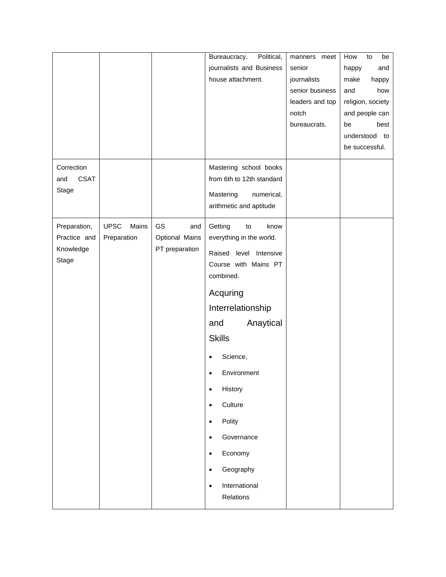|                                  |                      |                | Political,<br>Bureaucracy.                          | manners meet    | How<br>be<br>to   |
|----------------------------------|----------------------|----------------|-----------------------------------------------------|-----------------|-------------------|
|                                  |                      |                | journalists and Business                            | senior          | happy<br>and      |
|                                  |                      |                | house attachment.                                   | journalists     | make<br>happy     |
|                                  |                      |                |                                                     | senior business | and<br>how        |
|                                  |                      |                |                                                     | leaders and top | religion, society |
|                                  |                      |                |                                                     | notch           | and people can    |
|                                  |                      |                |                                                     | bureaucrats.    | be<br>best        |
|                                  |                      |                |                                                     |                 | understood to     |
|                                  |                      |                |                                                     |                 | be successful.    |
|                                  |                      |                |                                                     |                 |                   |
| Correction<br><b>CSAT</b><br>and |                      |                | Mastering school books<br>from 6th to 12th standard |                 |                   |
| Stage                            |                      |                |                                                     |                 |                   |
|                                  |                      |                | Mastering<br>numerical,                             |                 |                   |
|                                  |                      |                | arithmetic and aptitude                             |                 |                   |
| Preparation,                     | <b>UPSC</b><br>Mains | GS<br>and      | Getting<br>to<br>know                               |                 |                   |
| Practice and                     | Preparation          | Optional Mains | everything in the world.                            |                 |                   |
| Knowledge                        |                      | PT preparation | Raised level<br>Intensive                           |                 |                   |
| Stage                            |                      |                | Course with Mains PT                                |                 |                   |
|                                  |                      |                | combined.                                           |                 |                   |
|                                  |                      |                |                                                     |                 |                   |
|                                  |                      |                | Acquring                                            |                 |                   |
|                                  |                      |                | Interrelationship                                   |                 |                   |
|                                  |                      |                | Anaytical<br>and                                    |                 |                   |
|                                  |                      |                | <b>Skills</b>                                       |                 |                   |
|                                  |                      |                | Science,<br>$\bullet$                               |                 |                   |
|                                  |                      |                |                                                     |                 |                   |
|                                  |                      |                | Environment<br>$\bullet$                            |                 |                   |
|                                  |                      |                | History<br>$\bullet$                                |                 |                   |
|                                  |                      |                | Culture<br>$\bullet$                                |                 |                   |
|                                  |                      |                | Polity<br>$\bullet$                                 |                 |                   |
|                                  |                      |                | Governance<br>$\bullet$                             |                 |                   |
|                                  |                      |                | Economy<br>$\bullet$                                |                 |                   |
|                                  |                      |                | Geography<br>$\bullet$                              |                 |                   |
|                                  |                      |                | International<br>$\bullet$                          |                 |                   |
|                                  |                      |                | Relations                                           |                 |                   |
|                                  |                      |                |                                                     |                 |                   |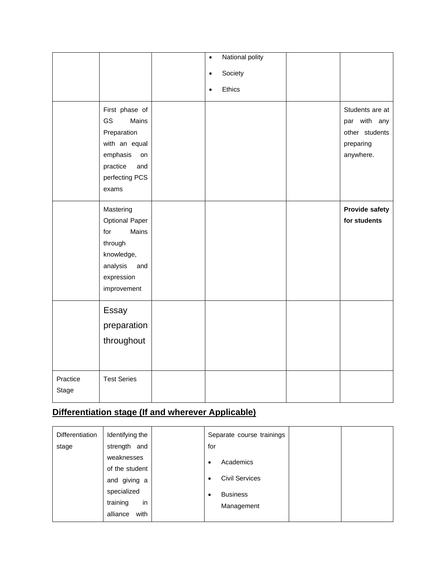|                   |                                                                                                                               | $\bullet$<br>$\bullet$<br>$\bullet$ | National polity<br>Society<br>Ethics |                                                                             |
|-------------------|-------------------------------------------------------------------------------------------------------------------------------|-------------------------------------|--------------------------------------|-----------------------------------------------------------------------------|
|                   | First phase of<br>GS<br>Mains<br>Preparation<br>with an equal<br>emphasis<br>on<br>practice<br>and<br>perfecting PCS<br>exams |                                     |                                      | Students are at<br>par with any<br>other students<br>preparing<br>anywhere. |
|                   | Mastering<br><b>Optional Paper</b><br>Mains<br>for<br>through<br>knowledge,<br>analysis<br>and<br>expression<br>improvement   |                                     |                                      | <b>Provide safety</b><br>for students                                       |
|                   | Essay<br>preparation<br>throughout                                                                                            |                                     |                                      |                                                                             |
| Practice<br>Stage | <b>Test Series</b>                                                                                                            |                                     |                                      |                                                                             |

## **Differentiation stage (If and wherever Applicable)**

| <b>Differentiation</b> | Identifying the  | Separate course trainings          |  |
|------------------------|------------------|------------------------------------|--|
| stage                  | strength and     | for                                |  |
|                        | weaknesses       | Academics<br>٠                     |  |
|                        | of the student   |                                    |  |
|                        | and giving a     | <b>Civil Services</b><br>$\bullet$ |  |
|                        | specialized      | <b>Business</b><br>٠               |  |
|                        | training<br>in   | Management                         |  |
|                        | with<br>alliance |                                    |  |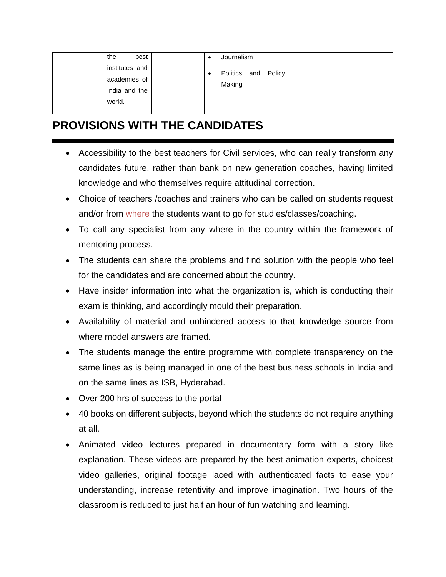| best<br>the    | Journalism          |  |
|----------------|---------------------|--|
| institutes and | Politics and Policy |  |
| academies of   | Making              |  |
| India and the  |                     |  |
| world.         |                     |  |
|                |                     |  |

# **PROVISIONS WITH THE CANDIDATES**

- Accessibility to the best teachers for Civil services, who can really transform any candidates future, rather than bank on new generation coaches, having limited knowledge and who themselves require attitudinal correction.
- Choice of teachers /coaches and trainers who can be called on students request and/or from where the students want to go for studies/classes/coaching.
- To call any specialist from any where in the country within the framework of mentoring process.
- The students can share the problems and find solution with the people who feel for the candidates and are concerned about the country.
- Have insider information into what the organization is, which is conducting their exam is thinking, and accordingly mould their preparation.
- Availability of material and unhindered access to that knowledge source from where model answers are framed.
- The students manage the entire programme with complete transparency on the same lines as is being managed in one of the best business schools in India and on the same lines as ISB, Hyderabad.
- Over 200 hrs of success to the portal
- 40 books on different subjects, beyond which the students do not require anything at all.
- Animated video lectures prepared in documentary form with a story like explanation. These videos are prepared by the best animation experts, choicest video galleries, original footage laced with authenticated facts to ease your understanding, increase retentivity and improve imagination. Two hours of the classroom is reduced to just half an hour of fun watching and learning.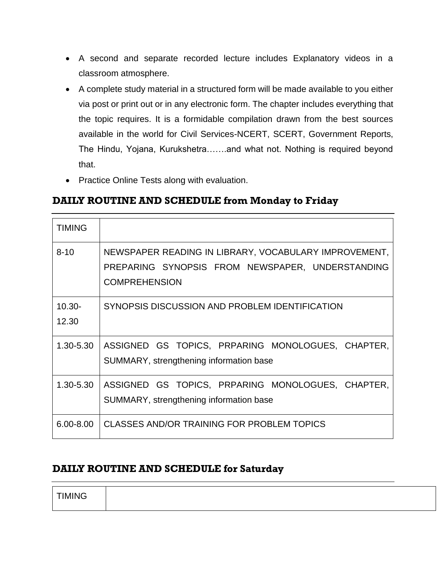- A second and separate recorded lecture includes Explanatory videos in a classroom atmosphere.
- A complete study material in a structured form will be made available to you either via post or print out or in any electronic form. The chapter includes everything that the topic requires. It is a formidable compilation drawn from the best sources available in the world for Civil Services-NCERT, SCERT, Government Reports, The Hindu, Yojana, Kurukshetra…….and what not. Nothing is required beyond that.
- Practice Online Tests along with evaluation.

## **DAILY ROUTINE AND SCHEDULE from Monday to Friday**

| <b>TIMING</b>      |                                                                                                                                   |
|--------------------|-----------------------------------------------------------------------------------------------------------------------------------|
| $8 - 10$           | NEWSPAPER READING IN LIBRARY, VOCABULARY IMPROVEMENT,<br>PREPARING SYNOPSIS FROM NEWSPAPER, UNDERSTANDING<br><b>COMPREHENSION</b> |
| $10.30 -$<br>12.30 | SYNOPSIS DISCUSSION AND PROBLEM IDENTIFICATION                                                                                    |
| 1.30-5.30          | ASSIGNED GS TOPICS, PRPARING MONOLOGUES, CHAPTER,<br>SUMMARY, strengthening information base                                      |
| 1.30-5.30          | ASSIGNED GS TOPICS, PRPARING MONOLOGUES, CHAPTER,<br>SUMMARY, strengthening information base                                      |
| $6.00 - 8.00$      | CLASSES AND/OR TRAINING FOR PROBLEM TOPICS                                                                                        |

## **DAILY ROUTINE AND SCHEDULE for Saturday**

| <b>AINIC</b> |  |
|--------------|--|
|--------------|--|